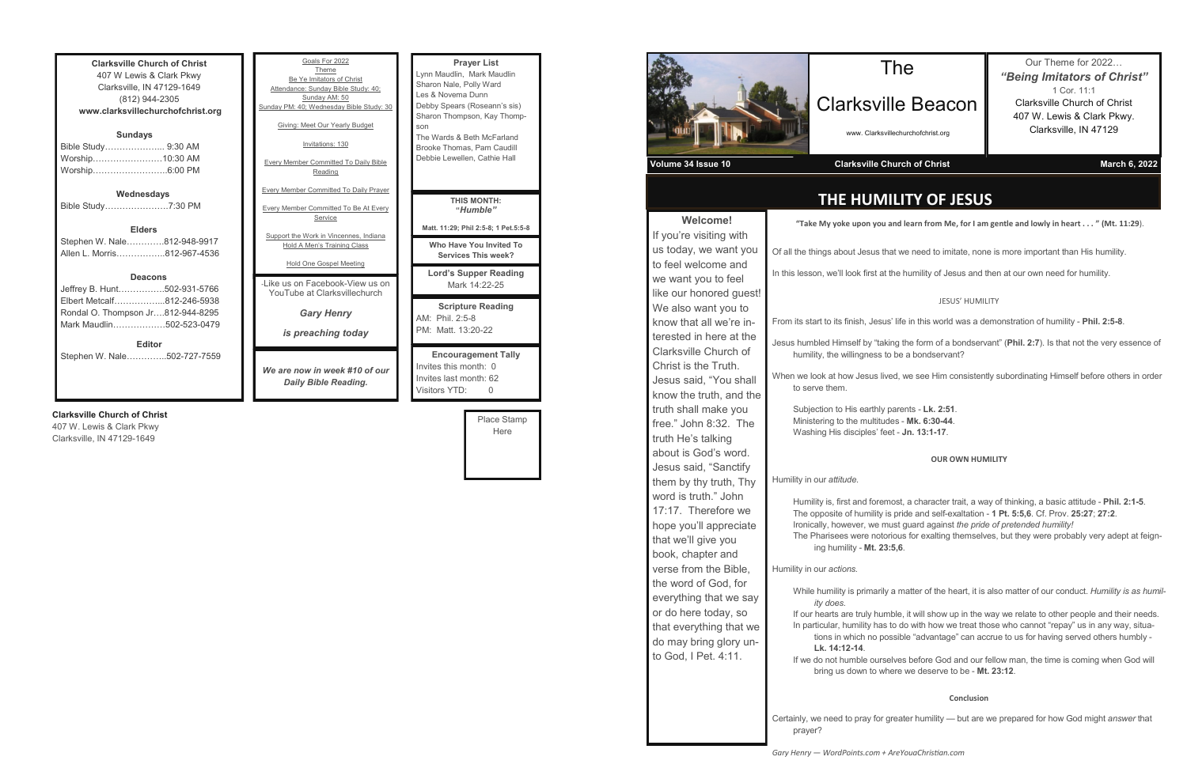| <b>Clarksville Church of Christ</b> |  |  |
|-------------------------------------|--|--|
| 407 W Lewis & Clark Pkwy            |  |  |
| Clarksville, IN 47129-1649          |  |  |
| (812) 944-2305                      |  |  |
| www.clarksvillechurchofchrist.org   |  |  |
| <b>Sundays</b>                      |  |  |
| Bible Study 9:30 AM                 |  |  |
| Worship10:30 AM                     |  |  |
| Worship6:00 PM                      |  |  |
|                                     |  |  |
| Wednesdays                          |  |  |
| Bible Study7:30 PM                  |  |  |
| <b>Elders</b>                       |  |  |
| Stephen W. Nale812-948-9917         |  |  |
| Allen L. Morris812-967-4536         |  |  |
|                                     |  |  |
| <b>Deacons</b>                      |  |  |
| Jeffrey B. Hunt502-931-5766         |  |  |
| Elbert Metcalf812-246-5938          |  |  |
| Rondal O. Thompson Jr812-944-8295   |  |  |
|                                     |  |  |
| Mark Maudlin502-523-0479            |  |  |

**Editor**

Stephen W. Nale…………..502-727-7559

#### **Clarksville Church of Christ**

407 W. Lewis & Clark Pkwy Clarksville, IN 47129-1649

| Goals For 2022<br>Theme<br>Be Ye Imitators of Christ<br>Attendance: Sunday Bible Study: 40;<br>Sunday AM: 50<br>Sunday PM: 40; Wednesday Bible Study: 30<br>Giving: Meet Our Yearly Budget<br>Invitations: 130<br><b>Every Member Committed To Daily Bible</b><br>Reading | <b>Prayer List</b><br>Lynn Maudlin, Mark Maudlin<br>Sharon Nale, Polly Ward<br>Les & Novema Dunn<br>Debby Spears (Roseann's sis)<br>Sharon Thompson, Kay Thomp-<br>son<br>The Wards & Beth McFarland<br>Brooke Thomas, Pam Caudill<br>Debbie Lewellen, Cathie Hall |
|---------------------------------------------------------------------------------------------------------------------------------------------------------------------------------------------------------------------------------------------------------------------------|--------------------------------------------------------------------------------------------------------------------------------------------------------------------------------------------------------------------------------------------------------------------|
| <b>Every Member Committed To Daily Prayer</b><br><b>Every Member Committed To Be At Every</b><br>Service<br>Support the Work in Vincennes, Indiana                                                                                                                        | <b>THIS MONTH:</b><br>"Humble"<br>Matt. 11:29; Phil 2:5-8; 1 Pet.5:5-8<br>Who Have You Invited To                                                                                                                                                                  |
| Hold A Men's Training Class<br>Hold One Gospel Meeting<br>- like us on Facebook-View us on<br>YouTube at Clarksvillechurch                                                                                                                                                | <b>Services This week?</b><br><b>Lord's Supper Reading</b><br>Mark 14:22-25                                                                                                                                                                                        |
| <b>Gary Henry</b><br>is preaching today                                                                                                                                                                                                                                   | <b>Scripture Reading</b><br>AM: Phil. 2:5-8<br>PM: Matt. 13:20-22                                                                                                                                                                                                  |
| We are now in week #10 of our<br>Daily Bible Reading.                                                                                                                                                                                                                     | <b>Encouragement Tally</b><br>Invites this month: 0<br>Invites last month: 62                                                                                                                                                                                      |

Place Stamp Here

Visitors YTD: 0



**Welcome!**

bremost, a character trait, a way of thinking, a basic attitude - **Phil. 2:1-5**. Iity is pride and self-exaltation - 1 Pt. 5:5,6. Cf. Prov. 25:27; 27:2. If all state must guard against *the pride of pretended humility!* notorious for exalting themselves, but they were probably very adept at feigning humility - **Mt. 23:5,6**.

arily a matter of the heart, it is also matter of our conduct. *Humility is as humil-*

humble, it will show up in the way we relate to other people and their needs. has to do with how we treat those who cannot "repay" us in any way, situathe possible "advantage" can accrue to us for having served others humbly -

urselves before God and our fellow man, the time is coming when God will where we deserve to be - Mt. 23:12.

### **THE HUMILITY OF JESUS**

### The

## Clarksville Beacon

www. Clarksvillechurchofchrist.org

### Our Theme for 2022… *"Being Imitators of Christ"* 1 Cor. 11:1 Clarksville Church of Christ 407 W. Lewis & Clark Pkwy. Clarksville, IN 47129

**Volume 34 Issue 10 Clarksville Church of Christ March 6, 2022**

**"Take My yoke upon you and learn from Me, for I am gentle and lowly in heart . . . " (Mt. 11:29**).

us that we need to imitate, none is more important than His humility.

at the humility of Jesus and then at our own need for humility.

#### JESUS' HUMILITY

esus' life in this world was a demonstration of humility - Phil. 2:5-8.

"taking the form of a bondservant" (Phil. 2:7). Is that not the very essence of ss to be a bondservant?

is lived, we see Him consistently subordinating Himself before others in order

thly parents - Lk. 2:51 Ministering to the multitudes - **Mk. 6:30-44**.  $\mathbf{s}'$  feet - **Jn. 13:1-17**.

| <b>VVEICOIIIE!</b>      | "Take My yoke upon y                        |
|-------------------------|---------------------------------------------|
| If you're visiting with |                                             |
| us today, we want you   | Of all the things about Jesu                |
| to feel welcome and     | In this lesson, we'll look first            |
| we want you to feel     |                                             |
| like our honored guest! |                                             |
| We also want you to     |                                             |
| know that all we're in- | From its start to its finish, Je            |
| terested in here at the | Jesus humbled Himself by '                  |
| Clarksville Church of   | humility, the willingnes                    |
| Christ is the Truth.    |                                             |
| Jesus said, "You shall  | When we look at how Jesus<br>to serve them. |
| know the truth, and the |                                             |
| truth shall make you    | Subjection to His eartl                     |
| free." John 8:32. The   | Ministering to the mult                     |
| truth He's talking      | Washing His disciples                       |
| about is God's word.    |                                             |
| Jesus said, "Sanctify   |                                             |
| them by thy truth, Thy  | Humility in our attitude.                   |
| word is truth." John    | Humility is, first and fo                   |
| 17:17. Therefore we     | The opposite of humili                      |
| hope you'll appreciate  | Ironically, however, w                      |
| that we'll give you     | The Pharisees were n<br>ing humility - Mt.  |
| book, chapter and       |                                             |
| verse from the Bible,   | Humility in our actions.                    |
| the word of God, for    |                                             |
| everything that we say  | While humility is prima<br>ity does.        |
| or do here today, so    | If our hearts are truly I                   |
| that everything that we | In particular, humility h                   |
| do may bring glory un-  | tions in which no<br>Lk. 14:12-14.          |
| to God, I Pet. 4:11.    | If we do not humble of                      |
|                         | bring us down to                            |
|                         |                                             |
|                         |                                             |
|                         | Certainly, we need to pray f<br>prayer?     |

#### **OUR OWN HUMILITY**

#### **Conclusion**

for greater humility — but are we prepared for how God might *answer* that